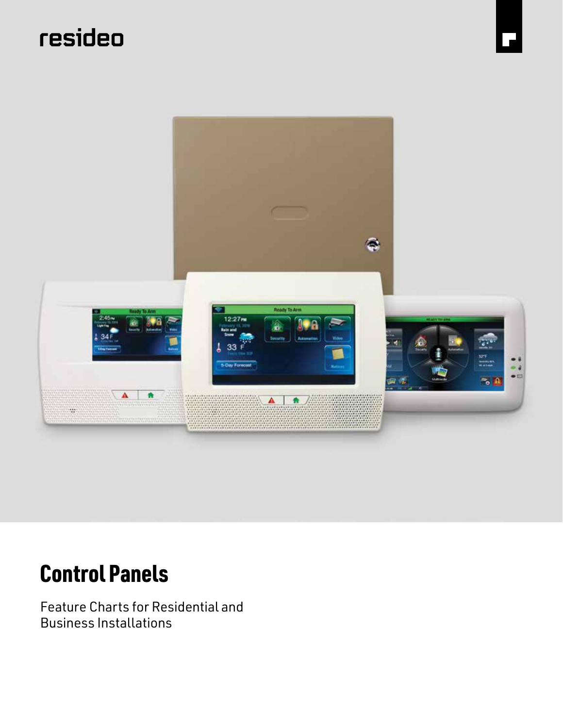# resideo



# Control Panels

Feature Charts for Residential and Business Installations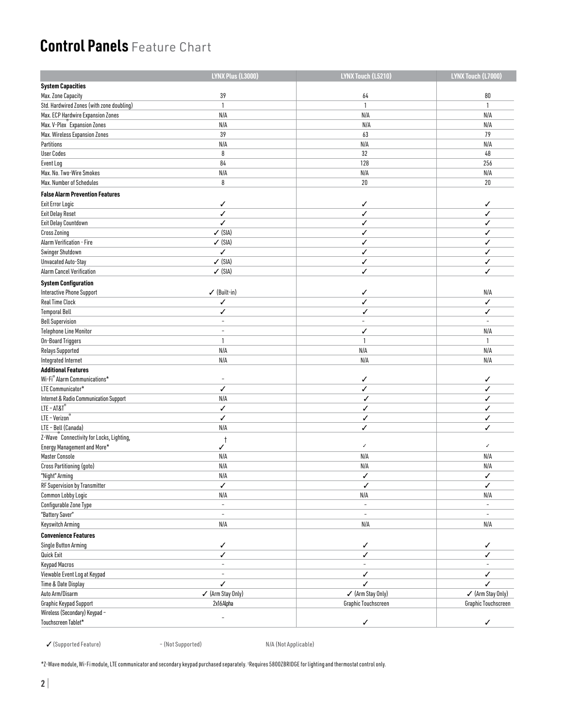|                                           | LYNX Plus (L3000)        | LYNX Touch (L5210)       | LYNX Touch (L7000)       |
|-------------------------------------------|--------------------------|--------------------------|--------------------------|
| <b>System Capacities</b>                  |                          |                          |                          |
| Max. Zone Capacity                        | 39                       | 64                       | 80                       |
| Std. Hardwired Zones (with zone doubling) | $\mathbf{1}$             | $\mathbf{1}$             | $\mathbf{1}$             |
| Max. ECP Hardwire Expansion Zones         | N/A                      | N/A                      | N/A                      |
| Max. V-Plex <sup>"</sup> Expansion Zones  | N/A                      | N/A                      | N/A                      |
| Max. Wireless Expansion Zones             | 39                       | 63                       | 79                       |
| Partitions                                | N/A                      | N/A                      | N/A                      |
| <b>User Codes</b>                         | 8                        | $32\,$                   | 48                       |
| Event Log                                 | 84                       | 128                      | 256                      |
| Max. No. Two-Wire Smokes                  | N/A                      | N/A                      | N/A                      |
| Max. Number of Schedules                  | 8                        | 20                       | 20                       |
| <b>False Alarm Prevention Features</b>    |                          |                          |                          |
| <b>Exit Error Logic</b>                   | ✓                        | ✓                        | ✓                        |
| <b>Exit Delay Reset</b>                   | ✓                        | ✓                        | ✓                        |
| Exit Delay Countdown                      | ✓                        | ✓                        | ✓                        |
| <b>Cross Zoning</b>                       | $\checkmark$ (SIA)       | ✓                        | ✓                        |
| Alarm Verification - Fire                 | $\checkmark$ (SIA)       | ✓                        | ✓                        |
| Swinger Shutdown                          | ✓                        | ✓                        | ✓                        |
| Unvacated Auto-Stay                       | $\checkmark$ (SIA)       | ✓                        | ✓                        |
| <b>Alarm Cancel Verification</b>          | $\checkmark$ (SIA)       | ✓                        | ✓                        |
| <b>System Configuration</b>               |                          |                          |                          |
| Interactive Phone Support                 | $\checkmark$ (Built-in)  | ✓                        | N/A                      |
| Real Time Clock                           | ✓                        | ✓                        | ✓                        |
| <b>Temporal Bell</b>                      | ✓                        | ✓                        | ✓                        |
| <b>Bell Supervision</b>                   | $\overline{\phantom{a}}$ | $\overline{\phantom{a}}$ | $\blacksquare$           |
| <b>Telephone Line Monitor</b>             | $\overline{a}$           | ✓                        | N/A                      |
| On-Board Triggers                         | $\mathbf{1}$             | 1                        | $\mathbf{1}$             |
| Relays Supported                          | N/A                      | N/A                      | N/A                      |
| Integrated Internet                       | N/A                      | N/A                      | N/A                      |
| <b>Additional Features</b>                |                          |                          |                          |
| Wi-Fi® Alarm Communications*              | $\overline{\phantom{a}}$ | ✓                        | ✓                        |
| LTE Communicator*                         | ✓                        | ✓                        | ✓                        |
| Internet & Radio Communication Support    | N/A                      | ✓                        | ✓                        |
| $LTE - AT&To$                             | ✓                        | ✓                        | ✓                        |
| LTE - Verizon®                            | ✓                        | ✓                        | ✓                        |
| LTE - Bell (Canada)                       | N/A                      | ✓                        | ✓                        |
| Z-Wave Connectivity for Locks, Lighting,  |                          |                          |                          |
| Energy Management and More*               | -1<br>✓                  | ✓                        | $\checkmark$             |
| Master Console                            | N/A                      | N/A                      | N/A                      |
| Cross Partitioning (goto)                 | N/A                      | N/A                      | N/A                      |
| "Night" Arming                            | N/A                      | ✓                        | ✓                        |
| RF Supervision by Transmitter             | ✓                        | ✓                        | ✓                        |
| Common Lobby Logic                        | N/A                      | N/A                      | N/A                      |
| Configurable Zone Type                    | $\equiv$                 | $\equiv$                 | $\overline{\phantom{a}}$ |
| "Battery Saver"                           | $\overline{\phantom{a}}$ | $\overline{\phantom{a}}$ | $\overline{\phantom{a}}$ |
| Keyswitch Arming                          | N/A                      | N/A                      | N/A                      |
| <b>Convenience Features</b>               |                          |                          |                          |
| Single Button Arming                      | $\checkmark$             | ✓                        | ✓                        |
| Quick Exit                                | ✓                        | ✓                        | ✓                        |
| Keypad Macros                             | $\overline{\phantom{a}}$ | $\frac{1}{2}$            | $\bar{a}$                |
| Viewable Event Log at Keypad              |                          | ✓                        | ✓                        |
|                                           | ✓                        | ✓                        | ✓                        |
| Time & Date Display<br>Auto Arm/Disarm    | ✔ (Arm Stay Only)        | ✔ (Arm Stay Only)        | ✔ (Arm Stay Only)        |
| Graphic Keypad Support                    | 2x16Alpha                | Graphic Touchscreen      | Graphic Touchscreen      |
| Wireless (Secondary) Keypad -             |                          |                          |                          |
| Touchscreen Tablet*                       |                          |                          |                          |
|                                           |                          | ✓                        | ✓                        |

✓ (Supported Feature) – (Not Supported) N/A (Not Applicable)

\*Z-Wave module, Wi-Fi module, LTE communicator and secondary keypad purchased separately. † Requires 5800ZBRIDGE for lighting and thermostat control only.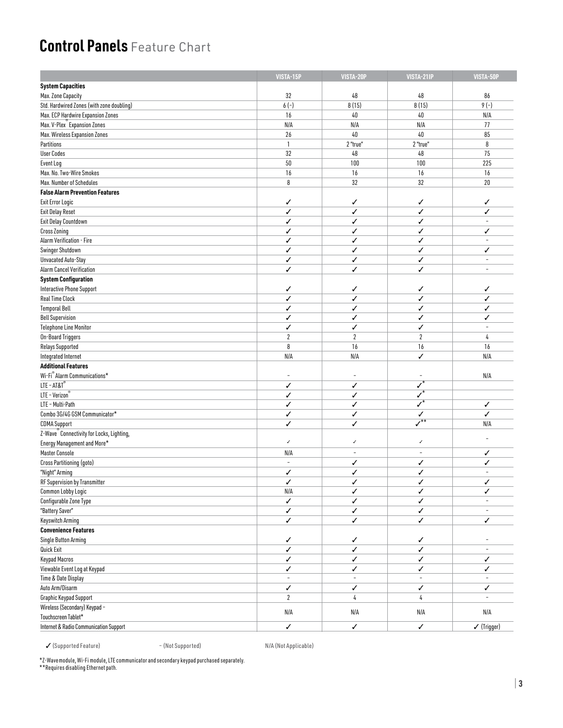|                                                                          | VISTA-15P                | VISTA-20P                | VISTA-21IP                    | VISTA-50P                |
|--------------------------------------------------------------------------|--------------------------|--------------------------|-------------------------------|--------------------------|
| <b>System Capacities</b>                                                 |                          |                          |                               |                          |
| Max. Zone Capacity                                                       | 32                       | $48\,$                   | 48                            | 86                       |
| Std. Hardwired Zones (with zone doubling)                                | $6(-)$                   | 8(15)                    | 8(15)                         | $9(-)$                   |
| Max. ECP Hardwire Expansion Zones                                        | 16                       | 40                       | $40\,$                        | N/A                      |
| Max. V-Plex <sup>®</sup> Expansion Zones                                 | N/A                      | N/A                      | N/A                           | 77                       |
| Max. Wireless Expansion Zones                                            | 26                       | 40                       | $40\,$                        | 85                       |
| Partitions                                                               | $\mathbf{1}$             | 2 "true"                 | 2 "true"                      | 8                        |
| <b>User Codes</b>                                                        | 32                       | 48                       | 48                            | 75                       |
| Event Log                                                                | 50                       | 100                      | 100                           | 225                      |
| Max. No. Two-Wire Smokes                                                 | 16                       | $16\,$                   | 16                            | 16                       |
| Max. Number of Schedules                                                 | 8                        | $32\,$                   | 32                            | 20                       |
| <b>False Alarm Prevention Features</b>                                   |                          |                          |                               |                          |
| <b>Exit Error Logic</b>                                                  | ✓                        | ✓                        | ✓                             | ✓                        |
| <b>Exit Delay Reset</b>                                                  | ✓                        | ✓                        | ✓                             | ✓                        |
| Exit Delay Countdown                                                     | ✓                        | ✓                        | ✓                             | $\sim$                   |
| Cross Zoning                                                             | ✓                        | ✓                        | ✓                             | ✓                        |
| Alarm Verification - Fire                                                | ✓                        | √                        | ✓                             | $\sim$                   |
| Swinger Shutdown                                                         | ✓                        | ✓                        | ✓                             | ✓                        |
| Unvacated Auto-Stay                                                      | ✓                        | ✓                        | ✓                             | $\sim$                   |
| <b>Alarm Cancel Verification</b>                                         | ✓                        | ✓                        | ✓                             | $\sim$                   |
| <b>System Configuration</b>                                              |                          |                          |                               |                          |
| <b>Interactive Phone Support</b>                                         | ✓                        | ✓                        | ✓                             | ✓                        |
| <b>Real Time Clock</b>                                                   | ✓                        | ✓                        | ✓                             | ✓                        |
| <b>Temporal Bell</b>                                                     | ✓                        | ✓                        | ✓                             | ✓                        |
| <b>Bell Supervision</b>                                                  | ✓                        | √                        | ✓                             | ✓                        |
| <b>Telephone Line Monitor</b>                                            | ✓                        | ✓                        | ✓                             |                          |
| On-Board Triggers                                                        | $\overline{2}$           | $\boldsymbol{2}$         | $\sqrt{2}$                    | 4                        |
| Relays Supported                                                         | 8                        | 16                       | 16                            | 16                       |
| Integrated Internet                                                      | N/A                      | N/A                      | ✓                             | N/A                      |
| <b>Additional Features</b>                                               |                          |                          |                               |                          |
| Wi-Fi® Alarm Communications*                                             | $\overline{\phantom{a}}$ | $\overline{\phantom{a}}$ |                               | N/A                      |
| $LTE - AT&T^{\circ}$                                                     | ✓                        | ✓                        | $\checkmark^*$                |                          |
| $LTE - Verizon°$                                                         | ✓                        | √                        | $\overline{\checkmark}$       |                          |
| LTE - Multi-Path                                                         | ✓                        | ✓                        | $\overline{y^*}$              | ✓                        |
| Combo 3G/4G GSM Communicator*                                            | ✓                        | ✓                        | ✓                             | ✓                        |
| <b>CDMA Support</b>                                                      | ✓                        | ✓                        | $\overline{\mathcal{N}}^{**}$ | N/A                      |
| Z-Wave Connectivity for Locks, Lighting,                                 |                          |                          |                               |                          |
| Energy Management and More*                                              | $\checkmark$             | $\checkmark$             | ✓                             |                          |
| Master Console                                                           | N/A                      | $\overline{\phantom{a}}$ | $\overline{\phantom{a}}$      | ✓                        |
| Cross Partitioning (goto)                                                | $\sim$                   | ✓                        | ✓                             | ✓                        |
| "Night" Arming                                                           | ✓                        | ✓                        | ✓                             | $\overline{\phantom{a}}$ |
| RF Supervision by Transmitter                                            | $\checkmark$             |                          |                               |                          |
| Common Lobby Logic                                                       | N/A                      | ✓                        | ✓                             | ✓                        |
| Configurable Zone Type                                                   | ✓                        | ✓                        | ✓                             |                          |
| "Battery Saver"                                                          | ✓                        | ✓                        | ✓                             | $\blacksquare$           |
| Keyswitch Arming                                                         | Í                        | J                        | ✓                             | ✓                        |
| <b>Convenience Features</b>                                              |                          |                          |                               |                          |
| Single Button Arming                                                     | ✓                        | ✓                        | ✓                             |                          |
| Quick Exit                                                               | $\checkmark$             | ✓                        | ✓                             | $\overline{\phantom{a}}$ |
| Keypad Macros                                                            | ✓                        | ✓                        | ✓                             | ✓                        |
| Viewable Event Log at Keypad                                             | ✓                        | ✓                        | ✓                             | ✓                        |
| Time & Date Display                                                      |                          | ÷                        |                               |                          |
| Auto Arm/Disarm                                                          | ✓                        | ✓                        | ✓                             | ✓                        |
| Graphic Keypad Support                                                   | $\overline{2}$           | 4                        | 4                             |                          |
| Wireless (Secondary) Keypad -                                            | N/A                      | $\mathsf{N}/\mathsf{A}$  | N/A                           | N/A                      |
| Touchscreen Tablet*<br><b>Internet &amp; Radio Communication Support</b> | ✓                        | ✓                        | ✓                             | $\checkmark$ (Trigger)   |
|                                                                          |                          |                          |                               |                          |

✓ (Supported Feature) – (Not Supported) N/A (Not Applicable)

\*Z-Wavemodule, Wi-Fi module, LTE communicator and secondary keypad purchased separately. \*\*Requires disabling Ethernet path.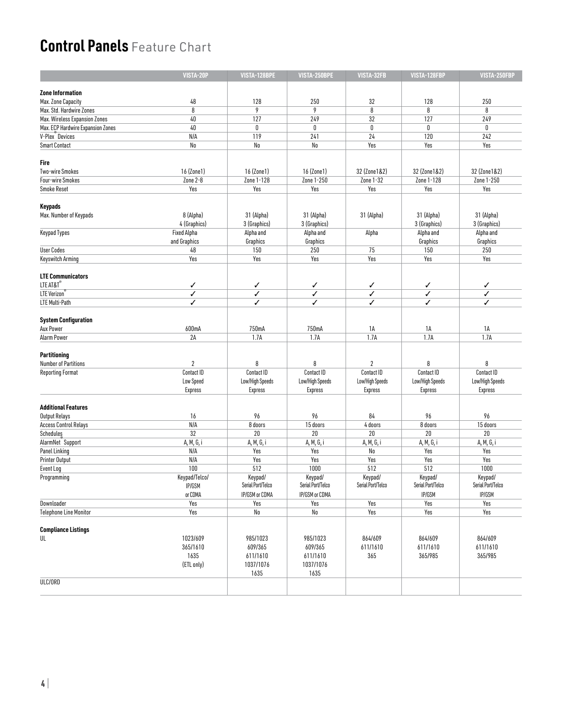|                                   | VISTA-20P          | VISTA-128BPE      | VISTA-250BPE      | VISTA-32FB        | VISTA-128FBP      | VISTA-250FBP      |
|-----------------------------------|--------------------|-------------------|-------------------|-------------------|-------------------|-------------------|
|                                   |                    |                   |                   |                   |                   |                   |
| <b>Zone Information</b>           |                    |                   |                   |                   |                   |                   |
| Max. Zone Capacity                | 48                 | 128               | 250               | 32                | 128               | 250               |
| Max. Std. Hardwire Zones          | 8                  | 9                 | 9                 | 8                 | 8                 | 8                 |
| Max. Wireless Expansion Zones     | 40                 | 127               | 249               | 32                | 127               | 249               |
| Max. ECP Hardwire Expansion Zones | $40\,$             | 0                 | 0                 | $\mathbf{0}$      | 0                 | 0                 |
| V-Plex <sup>Devices</sup>         | N/A                | 119               | 241               | 24                | 120               | 242               |
| <b>Smart Contact</b>              | No                 | No                | No                | Yes               | Yes               | Yes               |
| Fire                              |                    |                   |                   |                   |                   |                   |
| <b>Two-wire Smokes</b>            | 16 (Zone1)         | 16 (Zone1)        | 16 (Zone1)        | 32 (Zone1&2)      | 32 (Zone1&2)      | 32 (Zone1&2)      |
| Four-wire Smokes                  | Zone 2-8           | Zone 1-128        | Zone 1-250        | Zone 1-32         | Zone 1-128        | Zone 1-250        |
| <b>Smoke Reset</b>                | Yes                | Yes               | Yes               | Yes               | Yes               | Yes               |
|                                   |                    |                   |                   |                   |                   |                   |
| Keypads                           |                    |                   |                   |                   |                   |                   |
| Max. Number of Keypads            | 8 (Alpha)          | 31 (Alpha)        | 31 (Alpha)        | 31 (Alpha)        | 31 (Alpha)        | 31 (Alpha)        |
|                                   | 4 (Graphics)       | 3 (Graphics)      | 3 (Graphics)      |                   | 3 (Graphics)      | 3 (Graphics)      |
| <b>Keypad Types</b>               | <b>Fixed Alpha</b> | Alpha and         | Alpha and         | Alpha             | Alpha and         | Alpha and         |
|                                   | and Graphics       | Graphics          | Graphics          |                   | Graphics          | Graphics          |
| <b>User Codes</b>                 | 48                 | 150               | 250               | 75                | 150               | 250               |
| <b>Keyswitch Arming</b>           | Yes                | Yes               | Yes               | Yes               | Yes               | Yes               |
|                                   |                    |                   |                   |                   |                   |                   |
| <b>LTE Communicators</b>          |                    |                   |                   |                   |                   |                   |
| LTE AT&T <sup>®</sup>             | ✓                  | ✓                 | ✓                 | ✓                 | ✓                 | ✓                 |
| LTE Verizon                       | ✓                  | ✓                 | ✓                 | ✓                 | ✓                 | ✓                 |
| LTE Multi-Path                    | ✓                  | ✓                 | ✓                 | ✓                 | ✓                 | ✓                 |
| <b>System Configuration</b>       |                    |                   |                   |                   |                   |                   |
|                                   |                    |                   |                   |                   |                   |                   |
| Aux Power                         | 600mA              | 750mA             | 750mA             | 1A                | 1A                | 1A                |
| Alarm Power                       | 2A                 | 1.7A              | 1.7A              | 1.7A              | 1.7A              | 1.7A              |
| Partitioning                      |                    |                   |                   |                   |                   |                   |
|                                   | $\overline{2}$     |                   | 8                 |                   |                   |                   |
| <b>Number of Partitions</b>       | Contact ID         | 8<br>Contact ID   | Contact ID        | 2<br>Contact ID   | 8<br>Contact ID   | 8<br>Contact ID   |
| <b>Reporting Format</b>           |                    |                   |                   |                   |                   |                   |
|                                   | Low Speed          | Low/High Speeds   | Low/High Speeds   | Low/High Speeds   | Low/High Speeds   | Low/High Speeds   |
|                                   | Express            | Express           | <b>Express</b>    | Express           | Express           | Express           |
| <b>Additional Features</b>        |                    |                   |                   |                   |                   |                   |
| Output Relays                     | 16                 | 96                | 96                | 84                | 96                | 96                |
| <b>Access Control Relays</b>      | N/A                | 8 doors           | 15 doors          | 4 doors           | 8 doors           | 15 doors          |
| Schedules                         | 32                 | 20                | $20\,$            | 20                | $20\,$            | $20\,$            |
| AlarmNet Support                  | A, M, G, i         | A, M, G, i        | A, M, G, i        | A, M, G, i        | A, M, G, i        | A, M, G, i        |
| Panel Linking                     | N/A                | Yes               | Yes               | No                | Yes               | Yes               |
| Printer Output                    | N/A                | Yes               | Yes               | Yes               | Yes               | Yes               |
| Event Log                         | 100                | 512               | 1000              | 512               | 512               | 1000              |
| Programming                       | Keypad/Telco/      | Keypad/           | Keypad/           | Keypad/           | Keypad/           | Keypad/           |
|                                   | IP/GSM             | Serial Port/Telco | Serial Port/Telco | Serial Port/Telco | Serial Port/Telco | Serial Port/Telco |
|                                   | or CDMA            | IP/GSM or CDMA    | IP/GSM or CDMA    |                   | IP/GSM            | IP/GSM            |
| Downloader                        | Yes                | Yes               | Yes               | Yes               | Yes               | Yes               |
|                                   | Yes                | No                | No                | Yes               | Yes               | Yes               |
| <b>Telephone Line Monitor</b>     |                    |                   |                   |                   |                   |                   |
| <b>Compliance Listings</b>        |                    |                   |                   |                   |                   |                   |
|                                   |                    |                   |                   |                   |                   |                   |
| UL                                | 1023/609           | 985/1023          | 985/1023          | 864/609           | 864/609           | 864/609           |
|                                   | 365/1610           | 609/365           | 609/365           | 611/1610          | 611/1610          | 611/1610          |
|                                   | 1635               | 611/1610          | 611/1610          | 365               | 365/985           | 365/985           |
|                                   | (ETL only)         | 1037/1076         | 1037/1076         |                   |                   |                   |
|                                   |                    | 1635              | 1635              |                   |                   |                   |
| ULC/ORD                           |                    |                   |                   |                   |                   |                   |
|                                   |                    |                   |                   |                   |                   |                   |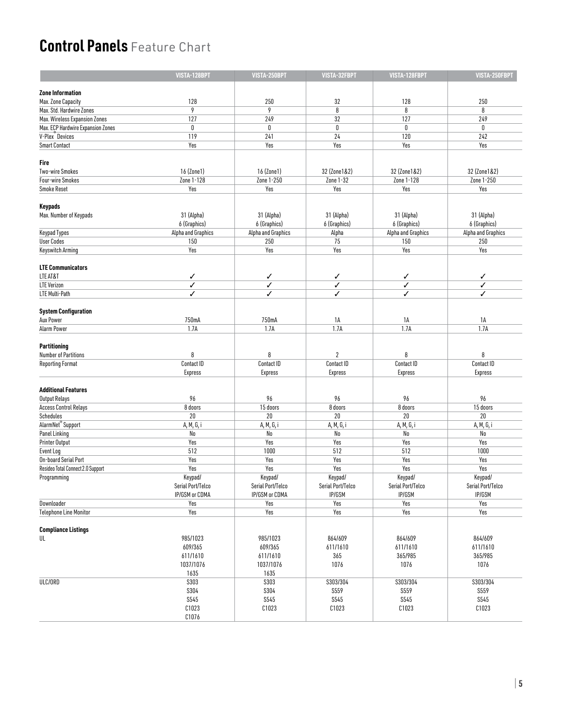|                                   | VISTA-128BPT       | VISTA-250BPT       | VISTA-32FBPT      | VISTA-128FBPT      | VISTA-250FBPT      |
|-----------------------------------|--------------------|--------------------|-------------------|--------------------|--------------------|
| <b>Zone Information</b>           |                    |                    |                   |                    |                    |
| Max. Zone Capacity                | 128                | 250                | 32                | 128                | 250                |
|                                   | 9                  | 9                  | 8                 | 8                  | 8                  |
| Max. Std. Hardwire Zones          |                    |                    |                   |                    |                    |
| Max. Wireless Expansion Zones     | 127                | 249                | 32                | 127                | 249                |
| Max. ECP Hardwire Expansion Zones | $\mathbf 0$        | 0                  | 0                 | $\mathbf 0$        | $\mathbf{0}$       |
| V-Plex <sup><i>Devices</i></sup>  | 119                | 241                | 24                | 120                | 242                |
| <b>Smart Contact</b>              | Yes                | Yes                | Yes               | Yes                | Yes                |
| Fire                              |                    |                    |                   |                    |                    |
| <b>Two-wire Smokes</b>            | 16 (Zone1)         | 16 (Zone1)         | 32 (Zone1&2)      | 32 (Zone1&2)       | 32 (Zone1&2)       |
| Four-wire Smokes                  | Zone 1-128         | Zone 1-250         | Zone 1-32         | Zone 1-128         | Zone 1-250         |
| <b>Smoke Reset</b>                | Yes                | Yes                | Yes               | Yes                | Yes                |
|                                   |                    |                    |                   |                    |                    |
| <b>Keypads</b>                    |                    |                    |                   |                    |                    |
| Max. Number of Keypads            | 31 (Alpha)         | 31 (Alpha)         | 31 (Alpha)        | 31 (Alpha)         | 31 (Alpha)         |
|                                   | 6 (Graphics)       | 6 (Graphics)       | 6 (Graphics)      | 6 (Graphics)       | 6 (Graphics)       |
| Keypad Types                      | Alpha and Graphics | Alpha and Graphics | Alpha             | Alpha and Graphics | Alpha and Graphics |
| <b>User Codes</b>                 | 150                | 250                | 75                | 150                | 250                |
| <b>Keyswitch Arming</b>           | Yes                | Yes                | Yes               | Yes                | Yes                |
| <b>LTE Communicators</b>          |                    |                    |                   |                    |                    |
| LTE AT&T                          | ✓                  | ✓                  | ✓                 | ✓                  | ✓                  |
| <b>LTE Verizon</b>                | ✓                  | ✓                  | ✓                 | ✓                  | ✓                  |
| LTE Multi-Path                    | ✓                  | ✓                  | ✓                 | ✓                  | J                  |
|                                   |                    |                    |                   |                    |                    |
| <b>System Configuration</b>       |                    |                    |                   |                    |                    |
| <b>Aux Power</b>                  | 750mA              | 750mA              | 1A                | 1А                 | 1А                 |
| Alarm Power                       | 1.7A               | 1.7A               | 1.7A              | 1.7A               | 1.7A               |
|                                   |                    |                    |                   |                    |                    |
| <b>Partitioning</b>               |                    |                    |                   |                    |                    |
| <b>Number of Partitions</b>       | 8                  | 8                  | $\overline{2}$    | 8                  | 8                  |
| <b>Reporting Format</b>           | Contact ID         | Contact ID         | Contact ID        | Contact ID         | Contact ID         |
|                                   | <b>Express</b>     | <b>Express</b>     | <b>Express</b>    | Express            | <b>Express</b>     |
|                                   |                    |                    |                   |                    |                    |
| <b>Additional Features</b>        |                    |                    |                   |                    |                    |
| Output Relays                     | 96                 | 96                 | 96                | 96                 | 96                 |
| <b>Access Control Relays</b>      | 8 doors            | 15 doors           | 8 doors           | 8 doors            | 15 doors           |
| Schedules                         | 20                 | 20                 | 20                | $20\,$             | 20                 |
| AlarmNet <sup>®</sup> Support     | A, M, G, i         | A, M, G, i         | A, M, G, i        | A, M, G, i         | A, M, G, i         |
| Panel Linking                     | No                 | No                 | No                | No                 | No                 |
| Printer Output                    | Yes                | Yes                | Yes               | Yes                | Yes                |
| Event Log                         | 512                | 1000               | 512               | 512                | 1000               |
| On-board Serial Port              | Yes                | Yes                | Yes               | Yes                | Yes                |
| Resideo Total Connect 2.0 Support | Yes                | Yes                | Yes               | Yes                | Yes                |
| Programming                       | Keypad/            | Keypad/            | Keypad/           | Keypad/            | Keypad/            |
|                                   |                    |                    |                   |                    |                    |
|                                   | Serial Port/Telco  | Serial Port/Telco  | Serial Port/Telco | Serial Port/Telco  | Serial Port/Telco  |
|                                   | IP/GSM or CDMA     | IP/GSM or CDMA     | IP/GSM            | IP/GSM             | IP/GSM             |
| Downloader                        | Yes                | Yes                | Yes               | Yes                | Yes                |
| <b>Telephone Line Monitor</b>     | Yes                | Yes                | Yes               | Yes                | Yes                |
| <b>Compliance Listings</b>        |                    |                    |                   |                    |                    |
|                                   |                    |                    |                   |                    |                    |
| UL                                | 985/1023           | 985/1023           | 864/609           | 864/609            | 864/609            |
|                                   | 609/365            | 609/365            | 611/1610          | 611/1610           | 611/1610           |
|                                   | 611/1610           | 611/1610           | 365               | 365/985            | 365/985            |
|                                   | 1037/1076          | 1037/1076          | 1076              | 1076               | 1076               |
|                                   | 1635               | 1635               |                   |                    |                    |
| ULC/ORD                           | S303               | <b>S303</b>        | S303/304          | S303/304           | S303/304           |
|                                   | S304               | <b>S304</b>        | S559              | S559               | <b>S559</b>        |
|                                   | <b>S545</b>        | <b>S545</b>        | <b>S545</b>       | <b>S545</b>        | <b>S545</b>        |
|                                   | C1023              | C1023              | C1023             | C1023              | C1023              |
|                                   | C1076              |                    |                   |                    |                    |
|                                   |                    |                    |                   |                    |                    |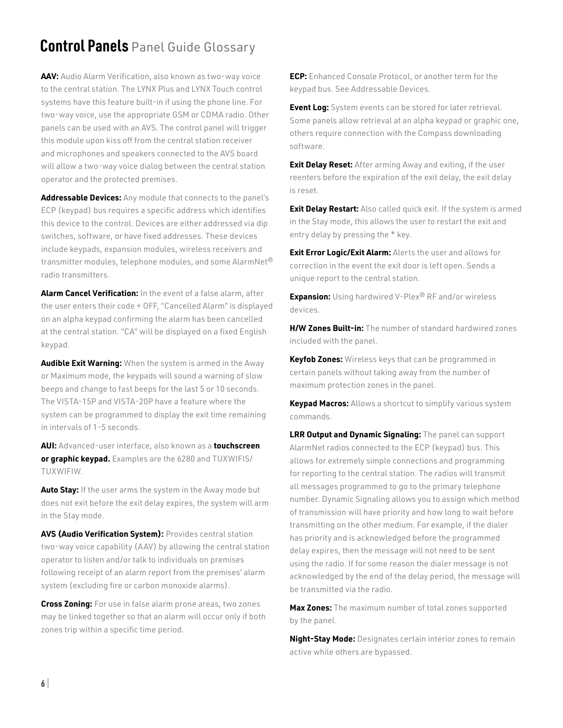### **Control Panels** Panel Guide Glossary

**AAV:** Audio Alarm Verification, also known as two-way voice to the central station. The LYNX Plus and LYNX Touch control systems have this feature built-in if using the phone line. For two-way voice, use the appropriate GSM or CDMA radio. Other panels can be used with an AVS. The control panel will trigger this module upon kiss off from the central station receiver and microphones and speakers connected to the AVS board will allow a two-way voice dialog between the central station operator and the protected premises.

**Addressable Devices:** Any module that connects to the panel's ECP (keypad) bus requires a specific address which identifies this device to the control. Devices are either addressed via dip switches, software, or have fixed addresses. These devices include keypads, expansion modules, wireless receivers and transmitter modules, telephone modules, and some AlarmNet<sup>®</sup> radio transmitters.

**Alarm Cancel Verification:** In the event of a false alarm, after the user enters their code + OFF, "Cancelled Alarm" is displayed on an alpha keypad confirming the alarm has been cancelled at the central station. "CA" will be displayed on a fixed English keypad.

**Audible Exit Warning:** When the system is armed in the Away or Maximum mode, the keypads will sound a warning of slow beeps and change to fast beeps for the last 5 or 10 seconds. The VISTA-15P and VISTA-20P have a feature where the system can be programmed to display the exit time remaining in intervals of 1-5 seconds.

**AUI:** Advanced-user interface, also known as a **touchscreen or graphic keypad.** Examples are the 6280 and TUXWIFIS/ TUXWIFIW.

**Auto Stay:** If the user arms the system in the Away mode but does not exit before the exit delay expires, the system will arm in the Stay mode.

**AVS (Audio Verification System):** Provides central station two-way voice capability (AAV) by allowing the central station operator to listen and/or talk to individuals on premises following receipt of an alarm report from the premises' alarm system (excluding fire or carbon monoxide alarms).

**Cross Zoning:** For use in false alarm prone areas, two zones may be linked together so that an alarm will occur only if both zones trip within a specific time period.

**ECP:** Enhanced Console Protocol, or another term for the keypad bus. See Addressable Devices.

**Event Log:** System events can be stored for later retrieval. Some panels allow retrieval at an alpha keypad or graphic one, others require connection with the Compass downloading software.

**Exit Delay Reset:** After arming Away and exiting, if the user reenters before the expiration of the exit delay, the exit delay is reset.

**Exit Delay Restart:** Also called quick exit. If the system is armed in the Stay mode, this allows the user to restart the exit and entry delay by pressing the \* key.

**Exit Error Logic/Exit Alarm:** Alerts the user and allows for correction in the event the exit door is left open. Sends a unique report to the central station.

**Expansion:** Using hardwired V-Plex® RF and/or wireless devices.

**H/W Zones Built-in:** The number of standard hardwired zones included with the panel.

**Keyfob Zones:** Wireless keys that can be programmed in certain panels without taking away from the number of maximum protection zones in the panel.

**Keypad Macros:** Allows a shortcut to simplify various system commands.

**LRR Output and Dynamic Signaling:** The panel can support AlarmNet radios connected to the ECP (keypad) bus. This allows for extremely simple connections and programming for reporting to the central station. The radios will transmit all messages programmed to go to the primary telephone number. Dynamic Signaling allows you to assign which method of transmission will have priority and how long to wait before transmitting on the other medium. For example, if the dialer has priority and is acknowledged before the programmed delay expires, then the message will not need to be sent using the radio. If for some reason the dialer message is not acknowledged by the end of the delay period, the message will be transmitted via the radio.

**Max Zones:** The maximum number of total zones supported by the panel.

**Night-Stay Mode:** Designates certain interior zones to remain active while others are bypassed.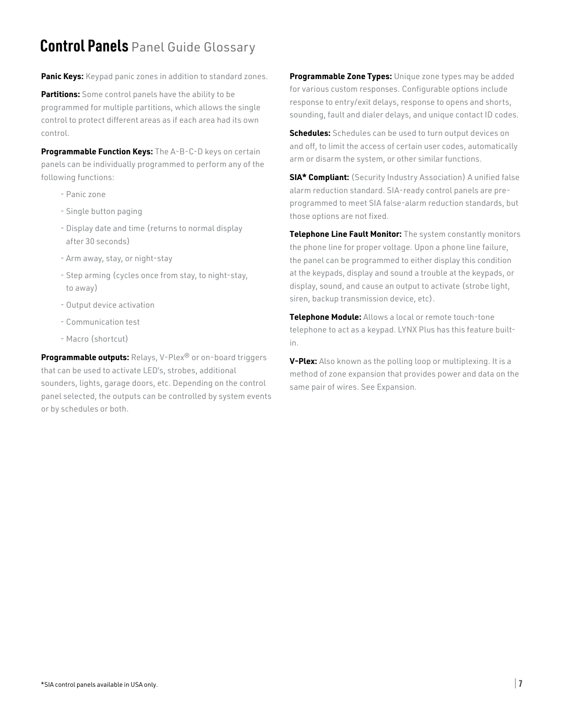### **Control Panels** Panel Guide Glossary

**Panic Keys:** Keypad panic zones in addition to standard zones.

**Partitions:** Some control panels have the ability to be programmed for multiple partitions, which allows the single control to protect different areas as if each area had its own control.

**Programmable Function Keys:** The A-B-C-D keys on certain panels can be individually programmed to perform any of the following functions:

- Panic zone
- Single button paging
- Display date and time (returns to normal display after 30 seconds)
- Arm away, stay, or night-stay
- Step arming (cycles once from stay, to night-stay, to away)
- Output device activation
- Communication test
- Macro (shortcut)

**Programmable outputs:** Relays, V-Plex® or on-board triggers that can be used to activate LED's, strobes, additional sounders, lights, garage doors, etc. Depending on the control panel selected, the outputs can be controlled by system events or by schedules or both.

**Programmable Zone Types:** Unique zone types may be added for various custom responses. Configurable options include response to entry/exit delays, response to opens and shorts, sounding, fault and dialer delays, and unique contact ID codes.

**Schedules:** Schedules can be used to turn output devices on and off, to limit the access of certain user codes, automatically arm or disarm the system, or other similar functions.

**SIA\* Compliant:** (Security Industry Association) A unified false alarm reduction standard. SIA-ready control panels are preprogrammed to meet SIA false-alarm reduction standards, but those options are not fixed.

**Telephone Line Fault Monitor:** The system constantly monitors the phone line for proper voltage. Upon a phone line failure, the panel can be programmed to either display this condition at the keypads, display and sound a trouble at the keypads, or display, sound, and cause an output to activate (strobe light, siren, backup transmission device, etc).

**Telephone Module:** Allows a local or remote touch-tone telephone to act as a keypad. LYNX Plus has this feature builtin.

**V-Plex:** Also known as the polling loop or multiplexing. It is a method of zone expansion that provides power and data on the same pair of wires. See Expansion.